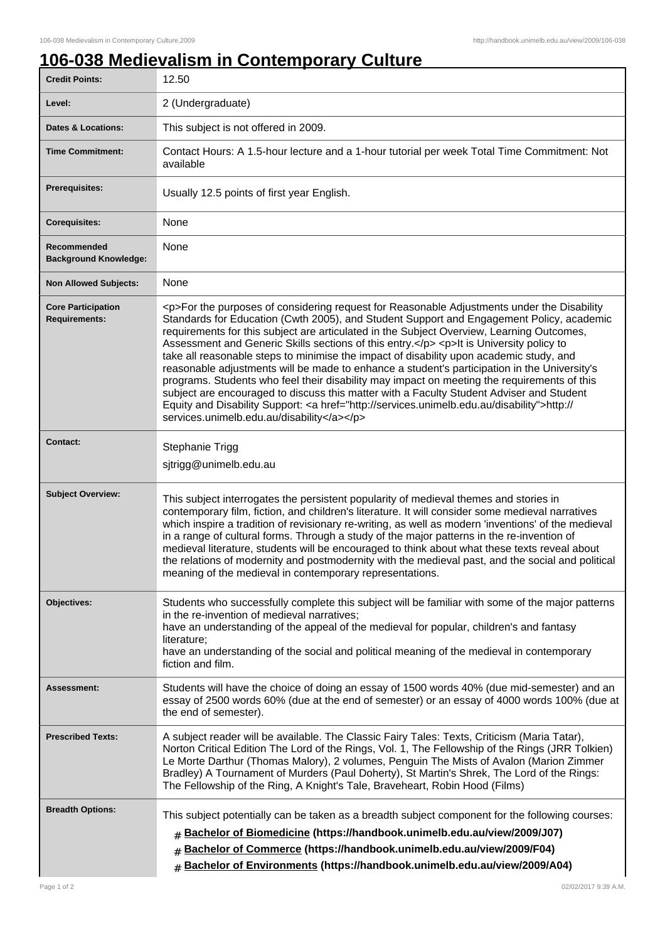## **106-038 Medievalism in Contemporary Culture**

| <b>Credit Points:</b>                             | 12.50                                                                                                                                                                                                                                                                                                                                                                                                                                                                                                                                                                                                                                                                                                                                                                                                                                                                                                                        |
|---------------------------------------------------|------------------------------------------------------------------------------------------------------------------------------------------------------------------------------------------------------------------------------------------------------------------------------------------------------------------------------------------------------------------------------------------------------------------------------------------------------------------------------------------------------------------------------------------------------------------------------------------------------------------------------------------------------------------------------------------------------------------------------------------------------------------------------------------------------------------------------------------------------------------------------------------------------------------------------|
| Level:                                            | 2 (Undergraduate)                                                                                                                                                                                                                                                                                                                                                                                                                                                                                                                                                                                                                                                                                                                                                                                                                                                                                                            |
| <b>Dates &amp; Locations:</b>                     | This subject is not offered in 2009.                                                                                                                                                                                                                                                                                                                                                                                                                                                                                                                                                                                                                                                                                                                                                                                                                                                                                         |
| <b>Time Commitment:</b>                           | Contact Hours: A 1.5-hour lecture and a 1-hour tutorial per week Total Time Commitment: Not<br>available                                                                                                                                                                                                                                                                                                                                                                                                                                                                                                                                                                                                                                                                                                                                                                                                                     |
| Prerequisites:                                    | Usually 12.5 points of first year English.                                                                                                                                                                                                                                                                                                                                                                                                                                                                                                                                                                                                                                                                                                                                                                                                                                                                                   |
| <b>Corequisites:</b>                              | None                                                                                                                                                                                                                                                                                                                                                                                                                                                                                                                                                                                                                                                                                                                                                                                                                                                                                                                         |
| Recommended<br><b>Background Knowledge:</b>       | None                                                                                                                                                                                                                                                                                                                                                                                                                                                                                                                                                                                                                                                                                                                                                                                                                                                                                                                         |
| <b>Non Allowed Subjects:</b>                      | None                                                                                                                                                                                                                                                                                                                                                                                                                                                                                                                                                                                                                                                                                                                                                                                                                                                                                                                         |
| <b>Core Participation</b><br><b>Requirements:</b> | <p>For the purposes of considering request for Reasonable Adjustments under the Disability<br/>Standards for Education (Cwth 2005), and Student Support and Engagement Policy, academic<br/>requirements for this subject are articulated in the Subject Overview, Learning Outcomes,<br/>Assessment and Generic Skills sections of this entry.</p> <p>It is University policy to<br/>take all reasonable steps to minimise the impact of disability upon academic study, and<br/>reasonable adjustments will be made to enhance a student's participation in the University's<br/>programs. Students who feel their disability may impact on meeting the requirements of this<br/>subject are encouraged to discuss this matter with a Faculty Student Adviser and Student<br/>Equity and Disability Support: &lt; a href="http://services.unimelb.edu.au/disability"&gt;http://<br/>services.unimelb.edu.au/disability</p> |
| <b>Contact:</b>                                   | Stephanie Trigg<br>sjtrigg@unimelb.edu.au                                                                                                                                                                                                                                                                                                                                                                                                                                                                                                                                                                                                                                                                                                                                                                                                                                                                                    |
| <b>Subject Overview:</b>                          | This subject interrogates the persistent popularity of medieval themes and stories in<br>contemporary film, fiction, and children's literature. It will consider some medieval narratives<br>which inspire a tradition of revisionary re-writing, as well as modern 'inventions' of the medieval<br>in a range of cultural forms. Through a study of the major patterns in the re-invention of<br>medieval literature, students will be encouraged to think about what these texts reveal about<br>the relations of modernity and postmodernity with the medieval past, and the social and political<br>meaning of the medieval in contemporary representations.                                                                                                                                                                                                                                                             |
| Objectives:                                       | Students who successfully complete this subject will be familiar with some of the major patterns<br>in the re-invention of medieval narratives;<br>have an understanding of the appeal of the medieval for popular, children's and fantasy<br>literature;<br>have an understanding of the social and political meaning of the medieval in contemporary<br>fiction and film.                                                                                                                                                                                                                                                                                                                                                                                                                                                                                                                                                  |
| Assessment:                                       | Students will have the choice of doing an essay of 1500 words 40% (due mid-semester) and an<br>essay of 2500 words 60% (due at the end of semester) or an essay of 4000 words 100% (due at<br>the end of semester).                                                                                                                                                                                                                                                                                                                                                                                                                                                                                                                                                                                                                                                                                                          |
| <b>Prescribed Texts:</b>                          | A subject reader will be available. The Classic Fairy Tales: Texts, Criticism (Maria Tatar),<br>Norton Critical Edition The Lord of the Rings, Vol. 1, The Fellowship of the Rings (JRR Tolkien)<br>Le Morte Darthur (Thomas Malory), 2 volumes, Penguin The Mists of Avalon (Marion Zimmer<br>Bradley) A Tournament of Murders (Paul Doherty), St Martin's Shrek, The Lord of the Rings:<br>The Fellowship of the Ring, A Knight's Tale, Braveheart, Robin Hood (Films)                                                                                                                                                                                                                                                                                                                                                                                                                                                     |
| <b>Breadth Options:</b>                           | This subject potentially can be taken as a breadth subject component for the following courses:<br>Bachelor of Biomedicine (https://handbook.unimelb.edu.au/view/2009/J07)<br>#<br>Bachelor of Commerce (https://handbook.unimelb.edu.au/view/2009/F04)<br>#<br>Bachelor of Environments (https://handbook.unimelb.edu.au/view/2009/A04)<br>#                                                                                                                                                                                                                                                                                                                                                                                                                                                                                                                                                                                |